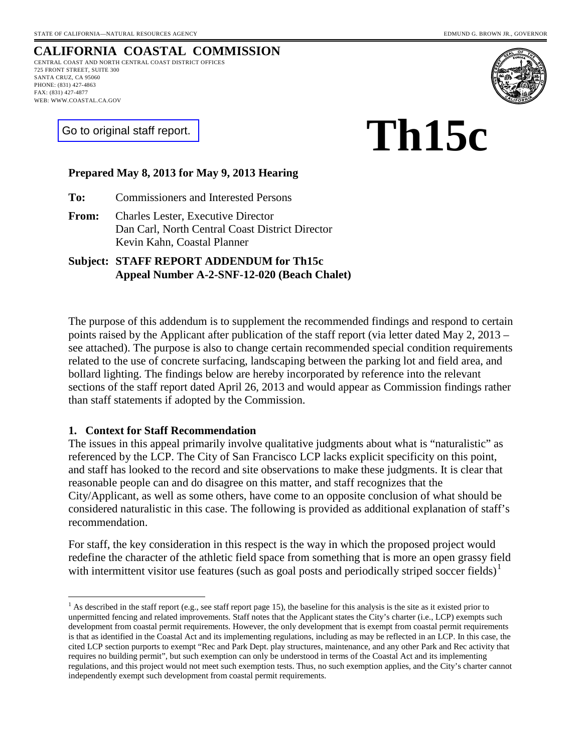#### **CALIFORNIA COASTAL COMMISSION** CENTRAL COAST AND NORTH CENTRAL COAST DISTRICT OFFICES 725 FRONT STREET, SUITE 300 SANTA CRUZ, CA 95060

PHONE: (831) 427-4863 FAX: (831) 427-4877 WEB: WWW.COASTAL.CA.GOV



[Go to original staff report.](http://documents.coastal.ca.gov/reports/2013/5/Th15c-5-2013.pdf)

# **Th15c**

#### **Prepared May 8, 2013 for May 9, 2013 Hearing**

**To:** Commissioners and Interested Persons

**From:** Charles Lester, Executive Director Dan Carl, North Central Coast District Director Kevin Kahn, Coastal Planner

**Subject: STAFF REPORT ADDENDUM for Th15c Appeal Number A-2-SNF-12-020 (Beach Chalet)**

The purpose of this addendum is to supplement the recommended findings and respond to certain points raised by the Applicant after publication of the staff report (via letter dated May 2, 2013 – see attached). The purpose is also to change certain recommended special condition requirements related to the use of concrete surfacing, landscaping between the parking lot and field area, and bollard lighting. The findings below are hereby incorporated by reference into the relevant sections of the staff report dated April 26, 2013 and would appear as Commission findings rather than staff statements if adopted by the Commission.

#### **1. Context for Staff Recommendation**

The issues in this appeal primarily involve qualitative judgments about what is "naturalistic" as referenced by the LCP. The City of San Francisco LCP lacks explicit specificity on this point, and staff has looked to the record and site observations to make these judgments. It is clear that reasonable people can and do disagree on this matter, and staff recognizes that the City/Applicant, as well as some others, have come to an opposite conclusion of what should be considered naturalistic in this case. The following is provided as additional explanation of staff's recommendation.

For staff, the key consideration in this respect is the way in which the proposed project would redefine the character of the athletic field space from something that is more an open grassy field with intermittent visitor use features (such as goal posts and periodically striped soccer fields)<sup>[1](#page-0-0)</sup>

<span id="page-0-0"></span><sup>&</sup>lt;sup>1</sup> As described in the staff report (e.g., see staff report page 15), the baseline for this analysis is the site as it existed prior to unpermitted fencing and related improvements. Staff notes that the Applicant states the City's charter (i.e., LCP) exempts such development from coastal permit requirements. However, the only development that is exempt from coastal permit requirements is that as identified in the Coastal Act and its implementing regulations, including as may be reflected in an LCP. In this case, the cited LCP section purports to exempt "Rec and Park Dept. play structures, maintenance, and any other Park and Rec activity that requires no building permit", but such exemption can only be understood in terms of the Coastal Act and its implementing regulations, and this project would not meet such exemption tests. Thus, no such exemption applies, and the City's charter cannot independently exempt such development from coastal permit requirements.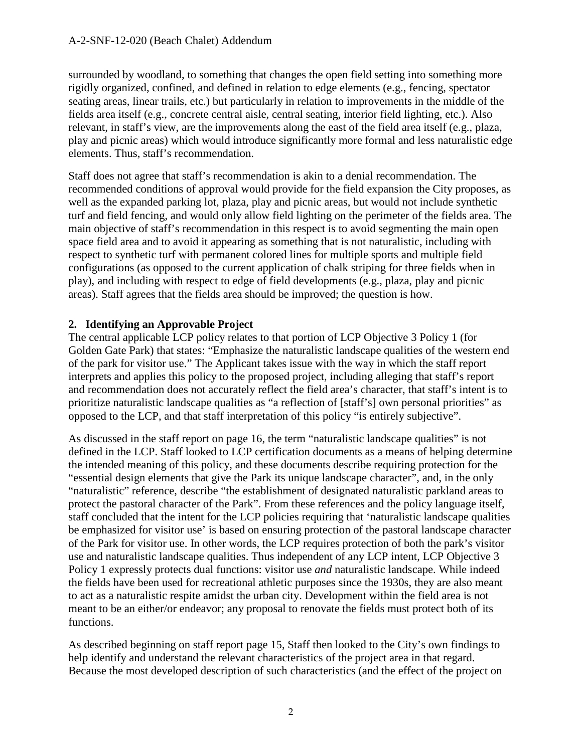surrounded by woodland, to something that changes the open field setting into something more rigidly organized, confined, and defined in relation to edge elements (e.g., fencing, spectator seating areas, linear trails, etc.) but particularly in relation to improvements in the middle of the fields area itself (e.g., concrete central aisle, central seating, interior field lighting, etc.). Also relevant, in staff's view, are the improvements along the east of the field area itself (e.g., plaza, play and picnic areas) which would introduce significantly more formal and less naturalistic edge elements. Thus, staff's recommendation.

Staff does not agree that staff's recommendation is akin to a denial recommendation. The recommended conditions of approval would provide for the field expansion the City proposes, as well as the expanded parking lot, plaza, play and picnic areas, but would not include synthetic turf and field fencing, and would only allow field lighting on the perimeter of the fields area. The main objective of staff's recommendation in this respect is to avoid segmenting the main open space field area and to avoid it appearing as something that is not naturalistic, including with respect to synthetic turf with permanent colored lines for multiple sports and multiple field configurations (as opposed to the current application of chalk striping for three fields when in play), and including with respect to edge of field developments (e.g., plaza, play and picnic areas). Staff agrees that the fields area should be improved; the question is how.

## **2. Identifying an Approvable Project**

The central applicable LCP policy relates to that portion of LCP Objective 3 Policy 1 (for Golden Gate Park) that states: "Emphasize the naturalistic landscape qualities of the western end of the park for visitor use." The Applicant takes issue with the way in which the staff report interprets and applies this policy to the proposed project, including alleging that staff's report and recommendation does not accurately reflect the field area's character, that staff's intent is to prioritize naturalistic landscape qualities as "a reflection of [staff's] own personal priorities" as opposed to the LCP, and that staff interpretation of this policy "is entirely subjective".

As discussed in the staff report on page 16, the term "naturalistic landscape qualities" is not defined in the LCP. Staff looked to LCP certification documents as a means of helping determine the intended meaning of this policy, and these documents describe requiring protection for the "essential design elements that give the Park its unique landscape character", and, in the only "naturalistic" reference, describe "the establishment of designated naturalistic parkland areas to protect the pastoral character of the Park". From these references and the policy language itself, staff concluded that the intent for the LCP policies requiring that 'naturalistic landscape qualities be emphasized for visitor use' is based on ensuring protection of the pastoral landscape character of the Park for visitor use. In other words, the LCP requires protection of both the park's visitor use and naturalistic landscape qualities. Thus independent of any LCP intent, LCP Objective 3 Policy 1 expressly protects dual functions: visitor use *and* naturalistic landscape. While indeed the fields have been used for recreational athletic purposes since the 1930s, they are also meant to act as a naturalistic respite amidst the urban city. Development within the field area is not meant to be an either/or endeavor; any proposal to renovate the fields must protect both of its functions.

As described beginning on staff report page 15, Staff then looked to the City's own findings to help identify and understand the relevant characteristics of the project area in that regard. Because the most developed description of such characteristics (and the effect of the project on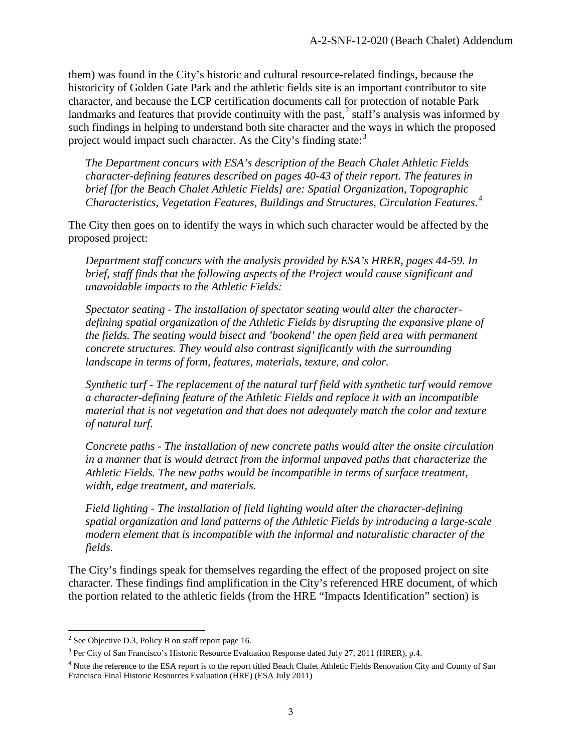them) was found in the City's historic and cultural resource-related findings, because the historicity of Golden Gate Park and the athletic fields site is an important contributor to site character, and because the LCP certification documents call for protection of notable Park landmarks and features that provide continuity with the past, $2$  staff's analysis was informed by such findings in helping to understand both site character and the ways in which the proposed project would impact such character. As the City's finding state: $3$ 

*The Department concurs with ESA's description of the Beach Chalet Athletic Fields character-defining features described on pages 40-43 of their report. The features in brief [for the Beach Chalet Athletic Fields] are: Spatial Organization, Topographic Characteristics, Vegetation Features, Buildings and Structures, Circulation Features.*[4](#page-2-2)

The City then goes on to identify the ways in which such character would be affected by the proposed project:

*Department staff concurs with the analysis provided by ESA's HRER, pages 44-59. In brief, staff finds that the following aspects of the Project would cause significant and unavoidable impacts to the Athletic Fields:*

*Spectator seating - The installation of spectator seating would alter the characterdefining spatial organization of the Athletic Fields by disrupting the expansive plane of the fields. The seating would bisect and 'bookend' the open field area with permanent concrete structures. They would also contrast significantly with the surrounding landscape in terms of form, features, materials, texture, and color.*

*Synthetic turf - The replacement of the natural turf field with synthetic turf would remove a character-defining feature of the Athletic Fields and replace it with an incompatible material that is not vegetation and that does not adequately match the color and texture of natural turf.*

*Concrete paths - The installation of new concrete paths would alter the onsite circulation in a manner that is would detract from the informal unpaved paths that characterize the Athletic Fields. The new paths would be incompatible in terms of surface treatment, width, edge treatment, and materials.*

*Field lighting - The installation of field lighting would alter the character-defining spatial organization and land patterns of the Athletic Fields by introducing a large-scale modern element that is incompatible with the informal and naturalistic character of the fields.*

The City's findings speak for themselves regarding the effect of the proposed project on site character. These findings find amplification in the City's referenced HRE document, of which the portion related to the athletic fields (from the HRE "Impacts Identification" section) is

<span id="page-2-0"></span> $2$  See Objective D.3, Policy B on staff report page 16.

<span id="page-2-1"></span><sup>3</sup> Per City of San Francisco's Historic Resource Evaluation Response dated July 27, 2011 (HRER), p.4.

<span id="page-2-2"></span><sup>&</sup>lt;sup>4</sup> Note the reference to the ESA report is to the report titled Beach Chalet Athletic Fields Renovation City and County of San Francisco Final Historic Resources Evaluation (HRE) (ESA July 2011)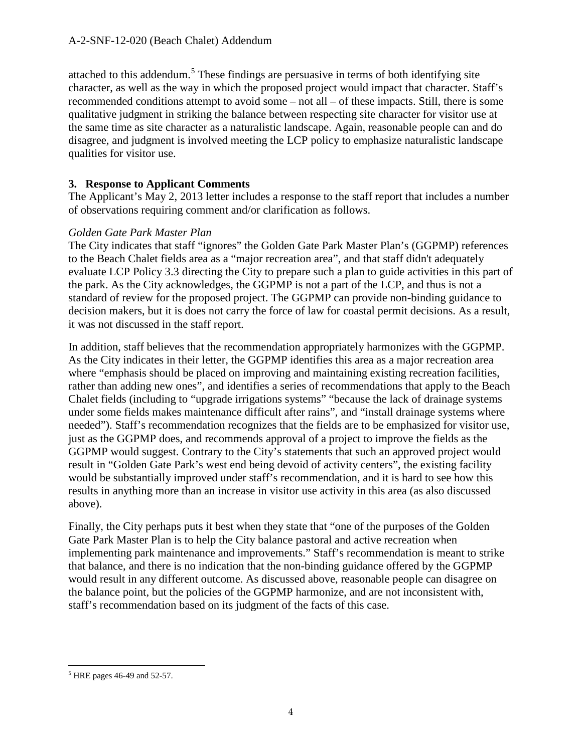attached to this addendum.<sup>[5](#page-3-0)</sup> These findings are persuasive in terms of both identifying site character, as well as the way in which the proposed project would impact that character. Staff's recommended conditions attempt to avoid some – not all – of these impacts. Still, there is some qualitative judgment in striking the balance between respecting site character for visitor use at the same time as site character as a naturalistic landscape. Again, reasonable people can and do disagree, and judgment is involved meeting the LCP policy to emphasize naturalistic landscape qualities for visitor use.

#### **3. Response to Applicant Comments**

The Applicant's May 2, 2013 letter includes a response to the staff report that includes a number of observations requiring comment and/or clarification as follows.

#### *Golden Gate Park Master Plan*

The City indicates that staff "ignores" the Golden Gate Park Master Plan's (GGPMP) references to the Beach Chalet fields area as a "major recreation area", and that staff didn't adequately evaluate LCP Policy 3.3 directing the City to prepare such a plan to guide activities in this part of the park. As the City acknowledges, the GGPMP is not a part of the LCP, and thus is not a standard of review for the proposed project. The GGPMP can provide non-binding guidance to decision makers, but it is does not carry the force of law for coastal permit decisions. As a result, it was not discussed in the staff report.

In addition, staff believes that the recommendation appropriately harmonizes with the GGPMP. As the City indicates in their letter, the GGPMP identifies this area as a major recreation area where "emphasis should be placed on improving and maintaining existing recreation facilities, rather than adding new ones", and identifies a series of recommendations that apply to the Beach Chalet fields (including to "upgrade irrigations systems" "because the lack of drainage systems under some fields makes maintenance difficult after rains", and "install drainage systems where needed"). Staff's recommendation recognizes that the fields are to be emphasized for visitor use, just as the GGPMP does, and recommends approval of a project to improve the fields as the GGPMP would suggest. Contrary to the City's statements that such an approved project would result in "Golden Gate Park's west end being devoid of activity centers", the existing facility would be substantially improved under staff's recommendation, and it is hard to see how this results in anything more than an increase in visitor use activity in this area (as also discussed above).

Finally, the City perhaps puts it best when they state that "one of the purposes of the Golden Gate Park Master Plan is to help the City balance pastoral and active recreation when implementing park maintenance and improvements." Staff's recommendation is meant to strike that balance, and there is no indication that the non-binding guidance offered by the GGPMP would result in any different outcome. As discussed above, reasonable people can disagree on the balance point, but the policies of the GGPMP harmonize, and are not inconsistent with, staff's recommendation based on its judgment of the facts of this case.

<span id="page-3-0"></span> <sup>5</sup> HRE pages 46-49 and 52-57.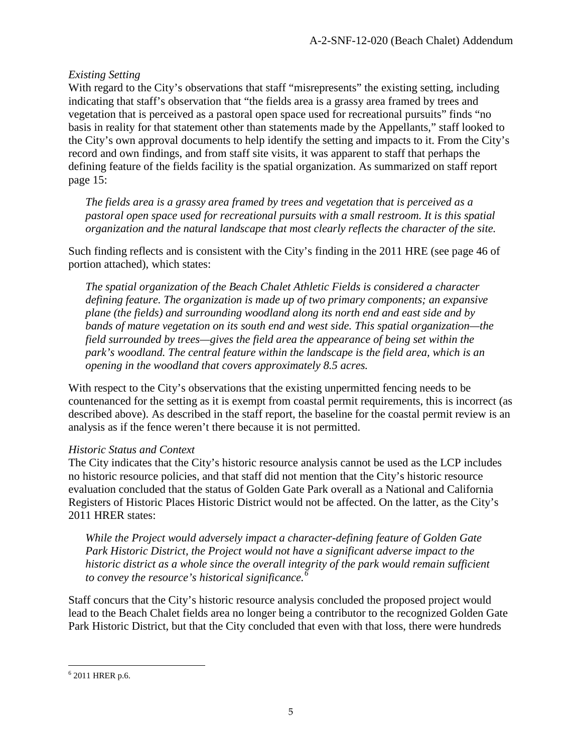## *Existing Setting*

With regard to the City's observations that staff "misrepresents" the existing setting, including indicating that staff's observation that "the fields area is a grassy area framed by trees and vegetation that is perceived as a pastoral open space used for recreational pursuits" finds "no basis in reality for that statement other than statements made by the Appellants," staff looked to the City's own approval documents to help identify the setting and impacts to it. From the City's record and own findings, and from staff site visits, it was apparent to staff that perhaps the defining feature of the fields facility is the spatial organization. As summarized on staff report page 15:

*The fields area is a grassy area framed by trees and vegetation that is perceived as a pastoral open space used for recreational pursuits with a small restroom. It is this spatial organization and the natural landscape that most clearly reflects the character of the site.*

Such finding reflects and is consistent with the City's finding in the 2011 HRE (see page 46 of portion attached), which states:

*The spatial organization of the Beach Chalet Athletic Fields is considered a character defining feature. The organization is made up of two primary components; an expansive plane (the fields) and surrounding woodland along its north end and east side and by bands of mature vegetation on its south end and west side. This spatial organization—the field surrounded by trees—gives the field area the appearance of being set within the park's woodland. The central feature within the landscape is the field area, which is an opening in the woodland that covers approximately 8.5 acres.*

With respect to the City's observations that the existing unpermitted fencing needs to be countenanced for the setting as it is exempt from coastal permit requirements, this is incorrect (as described above). As described in the staff report, the baseline for the coastal permit review is an analysis as if the fence weren't there because it is not permitted.

## *Historic Status and Context*

The City indicates that the City's historic resource analysis cannot be used as the LCP includes no historic resource policies, and that staff did not mention that the City's historic resource evaluation concluded that the status of Golden Gate Park overall as a National and California Registers of Historic Places Historic District would not be affected. On the latter, as the City's 2011 HRER states:

*While the Project would adversely impact a character-defining feature of Golden Gate Park Historic District, the Project would not have a significant adverse impact to the*  historic district as a whole since the overall integrity of the park would remain sufficient *to convey the resource's historical significance.[6](#page-4-0)*

Staff concurs that the City's historic resource analysis concluded the proposed project would lead to the Beach Chalet fields area no longer being a contributor to the recognized Golden Gate Park Historic District, but that the City concluded that even with that loss, there were hundreds

<span id="page-4-0"></span> <sup>6</sup> 2011 HRER p.6.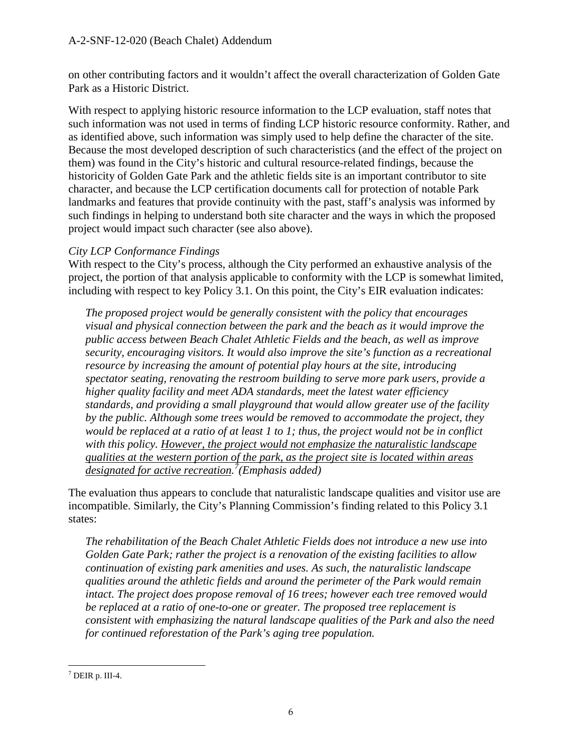#### A-2-SNF-12-020 (Beach Chalet) Addendum

on other contributing factors and it wouldn't affect the overall characterization of Golden Gate Park as a Historic District.

With respect to applying historic resource information to the LCP evaluation, staff notes that such information was not used in terms of finding LCP historic resource conformity. Rather, and as identified above, such information was simply used to help define the character of the site. Because the most developed description of such characteristics (and the effect of the project on them) was found in the City's historic and cultural resource-related findings, because the historicity of Golden Gate Park and the athletic fields site is an important contributor to site character, and because the LCP certification documents call for protection of notable Park landmarks and features that provide continuity with the past, staff's analysis was informed by such findings in helping to understand both site character and the ways in which the proposed project would impact such character (see also above).

#### *City LCP Conformance Findings*

With respect to the City's process, although the City performed an exhaustive analysis of the project, the portion of that analysis applicable to conformity with the LCP is somewhat limited, including with respect to key Policy 3.1. On this point, the City's EIR evaluation indicates:

*The proposed project would be generally consistent with the policy that encourages visual and physical connection between the park and the beach as it would improve the public access between Beach Chalet Athletic Fields and the beach, as well as improve security, encouraging visitors. It would also improve the site's function as a recreational resource by increasing the amount of potential play hours at the site, introducing spectator seating, renovating the restroom building to serve more park users, provide a higher quality facility and meet ADA standards, meet the latest water efficiency standards, and providing a small playground that would allow greater use of the facility by the public. Although some trees would be removed to accommodate the project, they would be replaced at a ratio of at least 1 to 1; thus, the project would not be in conflict with this policy. However, the project would not emphasize the naturalistic landscape qualities at the western portion of the park, as the project site is located within areas designated for active recreation. [7](#page-5-0) (Emphasis added)*

The evaluation thus appears to conclude that naturalistic landscape qualities and visitor use are incompatible. Similarly, the City's Planning Commission's finding related to this Policy 3.1 states:

*The rehabilitation of the Beach Chalet Athletic Fields does not introduce a new use into Golden Gate Park; rather the project is a renovation of the existing facilities to allow continuation of existing park amenities and uses. As such, the naturalistic landscape qualities around the athletic fields and around the perimeter of the Park would remain intact. The project does propose removal of 16 trees; however each tree removed would be replaced at a ratio of one-to-one or greater. The proposed tree replacement is consistent with emphasizing the natural landscape qualities of the Park and also the need for continued reforestation of the Park's aging tree population.*

<span id="page-5-0"></span> $<sup>7</sup>$  DEIR p. III-4.</sup>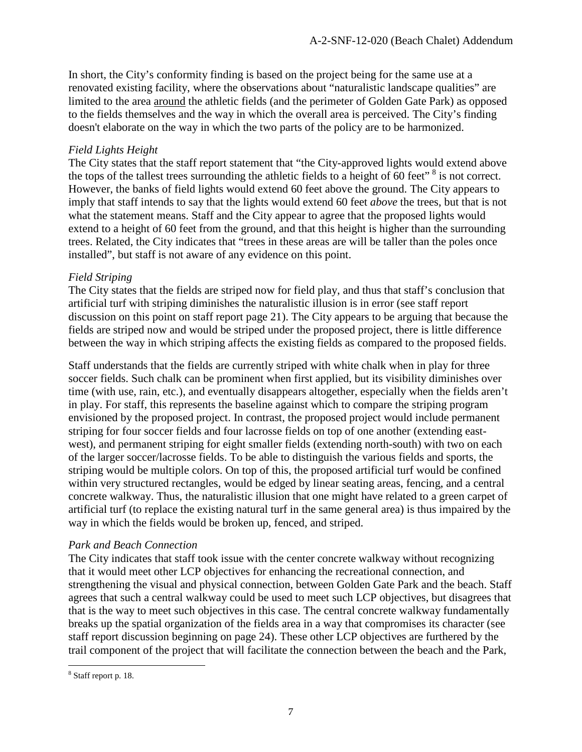In short, the City's conformity finding is based on the project being for the same use at a renovated existing facility, where the observations about "naturalistic landscape qualities" are limited to the area around the athletic fields (and the perimeter of Golden Gate Park) as opposed to the fields themselves and the way in which the overall area is perceived. The City's finding doesn't elaborate on the way in which the two parts of the policy are to be harmonized.

### *Field Lights Height*

The City states that the staff report statement that "the City-approved lights would extend above the tops of the tallest trees surrounding the athletic fields to a height of 60 feet"<sup>[8](#page-6-0)</sup> is not correct. However, the banks of field lights would extend 60 feet above the ground. The City appears to imply that staff intends to say that the lights would extend 60 feet *above* the trees, but that is not what the statement means. Staff and the City appear to agree that the proposed lights would extend to a height of 60 feet from the ground, and that this height is higher than the surrounding trees. Related, the City indicates that "trees in these areas are will be taller than the poles once installed", but staff is not aware of any evidence on this point.

## *Field Striping*

The City states that the fields are striped now for field play, and thus that staff's conclusion that artificial turf with striping diminishes the naturalistic illusion is in error (see staff report discussion on this point on staff report page 21). The City appears to be arguing that because the fields are striped now and would be striped under the proposed project, there is little difference between the way in which striping affects the existing fields as compared to the proposed fields.

Staff understands that the fields are currently striped with white chalk when in play for three soccer fields. Such chalk can be prominent when first applied, but its visibility diminishes over time (with use, rain, etc.), and eventually disappears altogether, especially when the fields aren't in play. For staff, this represents the baseline against which to compare the striping program envisioned by the proposed project. In contrast, the proposed project would include permanent striping for four soccer fields and four lacrosse fields on top of one another (extending eastwest), and permanent striping for eight smaller fields (extending north-south) with two on each of the larger soccer/lacrosse fields. To be able to distinguish the various fields and sports, the striping would be multiple colors. On top of this, the proposed artificial turf would be confined within very structured rectangles, would be edged by linear seating areas, fencing, and a central concrete walkway. Thus, the naturalistic illusion that one might have related to a green carpet of artificial turf (to replace the existing natural turf in the same general area) is thus impaired by the way in which the fields would be broken up, fenced, and striped.

#### *Park and Beach Connection*

The City indicates that staff took issue with the center concrete walkway without recognizing that it would meet other LCP objectives for enhancing the recreational connection, and strengthening the visual and physical connection, between Golden Gate Park and the beach. Staff agrees that such a central walkway could be used to meet such LCP objectives, but disagrees that that is the way to meet such objectives in this case. The central concrete walkway fundamentally breaks up the spatial organization of the fields area in a way that compromises its character (see staff report discussion beginning on page 24). These other LCP objectives are furthered by the trail component of the project that will facilitate the connection between the beach and the Park,

<span id="page-6-0"></span> <sup>8</sup> Staff report p. 18.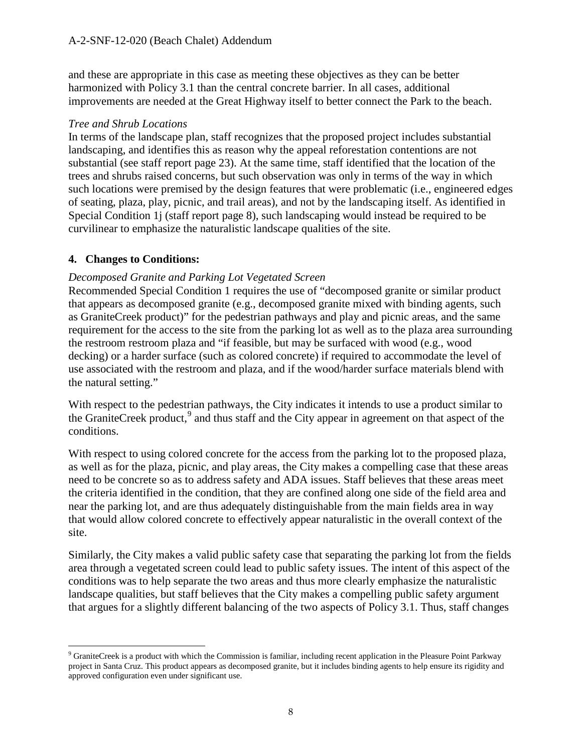and these are appropriate in this case as meeting these objectives as they can be better harmonized with Policy 3.1 than the central concrete barrier. In all cases, additional improvements are needed at the Great Highway itself to better connect the Park to the beach.

#### *Tree and Shrub Locations*

In terms of the landscape plan, staff recognizes that the proposed project includes substantial landscaping, and identifies this as reason why the appeal reforestation contentions are not substantial (see staff report page 23). At the same time, staff identified that the location of the trees and shrubs raised concerns, but such observation was only in terms of the way in which such locations were premised by the design features that were problematic (i.e., engineered edges of seating, plaza, play, picnic, and trail areas), and not by the landscaping itself. As identified in Special Condition 1j (staff report page 8), such landscaping would instead be required to be curvilinear to emphasize the naturalistic landscape qualities of the site.

## **4. Changes to Conditions:**

## *Decomposed Granite and Parking Lot Vegetated Screen*

Recommended Special Condition 1 requires the use of "decomposed granite or similar product that appears as decomposed granite (e.g., decomposed granite mixed with binding agents, such as GraniteCreek product)" for the pedestrian pathways and play and picnic areas, and the same requirement for the access to the site from the parking lot as well as to the plaza area surrounding the restroom restroom plaza and "if feasible, but may be surfaced with wood (e.g., wood decking) or a harder surface (such as colored concrete) if required to accommodate the level of use associated with the restroom and plaza, and if the wood/harder surface materials blend with the natural setting."

With respect to the pedestrian pathways, the City indicates it intends to use a product similar to the GraniteCreek product,<sup>[9](#page-7-0)</sup> and thus staff and the City appear in agreement on that aspect of the conditions.

With respect to using colored concrete for the access from the parking lot to the proposed plaza, as well as for the plaza, picnic, and play areas, the City makes a compelling case that these areas need to be concrete so as to address safety and ADA issues. Staff believes that these areas meet the criteria identified in the condition, that they are confined along one side of the field area and near the parking lot, and are thus adequately distinguishable from the main fields area in way that would allow colored concrete to effectively appear naturalistic in the overall context of the site.

Similarly, the City makes a valid public safety case that separating the parking lot from the fields area through a vegetated screen could lead to public safety issues. The intent of this aspect of the conditions was to help separate the two areas and thus more clearly emphasize the naturalistic landscape qualities, but staff believes that the City makes a compelling public safety argument that argues for a slightly different balancing of the two aspects of Policy 3.1. Thus, staff changes

<span id="page-7-0"></span> <sup>9</sup> GraniteCreek is a product with which the Commission is familiar, including recent application in the Pleasure Point Parkway project in Santa Cruz. This product appears as decomposed granite, but it includes binding agents to help ensure its rigidity and approved configuration even under significant use.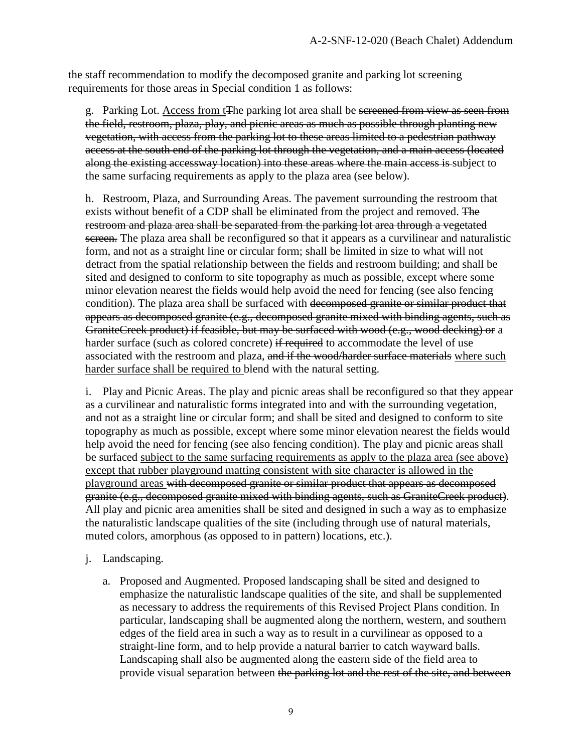the staff recommendation to modify the decomposed granite and parking lot screening requirements for those areas in Special condition 1 as follows:

g. Parking Lot. Access from t<sub>The parking</sub> lot area shall be sereened from view as seen from the field, restroom, plaza, play, and picnic areas as much as possible through planting new vegetation, with access from the parking lot to these areas limited to a pedestrian pathway access at the south end of the parking lot through the vegetation, and a main access (located along the existing accessway location) into these areas where the main access is subject to the same surfacing requirements as apply to the plaza area (see below).

h. Restroom, Plaza, and Surrounding Areas. The pavement surrounding the restroom that exists without benefit of a CDP shall be eliminated from the project and removed. The restroom and plaza area shall be separated from the parking lot area through a vegetated screen. The plaza area shall be reconfigured so that it appears as a curvilinear and naturalistic form, and not as a straight line or circular form; shall be limited in size to what will not detract from the spatial relationship between the fields and restroom building; and shall be sited and designed to conform to site topography as much as possible, except where some minor elevation nearest the fields would help avoid the need for fencing (see also fencing condition). The plaza area shall be surfaced with decomposed granite or similar product that appears as decomposed granite (e.g., decomposed granite mixed with binding agents, such as GraniteCreek product) if feasible, but may be surfaced with wood (e.g., wood decking) or a harder surface (such as colored concrete) if required to accommodate the level of use associated with the restroom and plaza, and if the wood/harder surface materials where such harder surface shall be required to blend with the natural setting.

i. Play and Picnic Areas. The play and picnic areas shall be reconfigured so that they appear as a curvilinear and naturalistic forms integrated into and with the surrounding vegetation, and not as a straight line or circular form; and shall be sited and designed to conform to site topography as much as possible, except where some minor elevation nearest the fields would help avoid the need for fencing (see also fencing condition). The play and picnic areas shall be surfaced subject to the same surfacing requirements as apply to the plaza area (see above) except that rubber playground matting consistent with site character is allowed in the playground areas with decomposed granite or similar product that appears as decomposed granite (e.g., decomposed granite mixed with binding agents, such as GraniteCreek product). All play and picnic area amenities shall be sited and designed in such a way as to emphasize the naturalistic landscape qualities of the site (including through use of natural materials, muted colors, amorphous (as opposed to in pattern) locations, etc.).

#### j. Landscaping.

a. Proposed and Augmented. Proposed landscaping shall be sited and designed to emphasize the naturalistic landscape qualities of the site, and shall be supplemented as necessary to address the requirements of this Revised Project Plans condition. In particular, landscaping shall be augmented along the northern, western, and southern edges of the field area in such a way as to result in a curvilinear as opposed to a straight-line form, and to help provide a natural barrier to catch wayward balls. Landscaping shall also be augmented along the eastern side of the field area to provide visual separation between the parking lot and the rest of the site, and between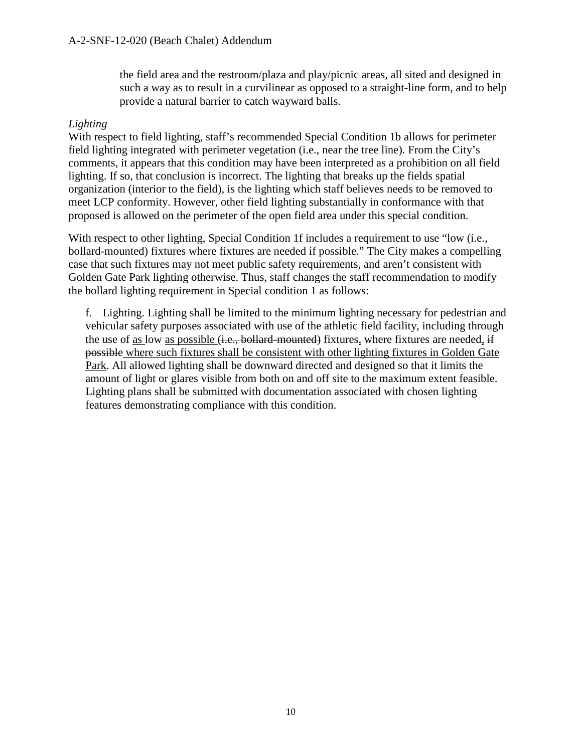the field area and the restroom/plaza and play/picnic areas, all sited and designed in such a way as to result in a curvilinear as opposed to a straight-line form, and to help provide a natural barrier to catch wayward balls.

#### *Lighting*

With respect to field lighting, staff's recommended Special Condition 1b allows for perimeter field lighting integrated with perimeter vegetation (i.e., near the tree line). From the City's comments, it appears that this condition may have been interpreted as a prohibition on all field lighting. If so, that conclusion is incorrect. The lighting that breaks up the fields spatial organization (interior to the field), is the lighting which staff believes needs to be removed to meet LCP conformity. However, other field lighting substantially in conformance with that proposed is allowed on the perimeter of the open field area under this special condition.

With respect to other lighting, Special Condition 1f includes a requirement to use "low (i.e., bollard-mounted) fixtures where fixtures are needed if possible." The City makes a compelling case that such fixtures may not meet public safety requirements, and aren't consistent with Golden Gate Park lighting otherwise. Thus, staff changes the staff recommendation to modify the bollard lighting requirement in Special condition 1 as follows:

f. Lighting. Lighting shall be limited to the minimum lighting necessary for pedestrian and vehicular safety purposes associated with use of the athletic field facility, including through the use of as low as possible (i.e., bollard-mounted) fixtures, where fixtures are needed, if possible where such fixtures shall be consistent with other lighting fixtures in Golden Gate Park. All allowed lighting shall be downward directed and designed so that it limits the amount of light or glares visible from both on and off site to the maximum extent feasible. Lighting plans shall be submitted with documentation associated with chosen lighting features demonstrating compliance with this condition.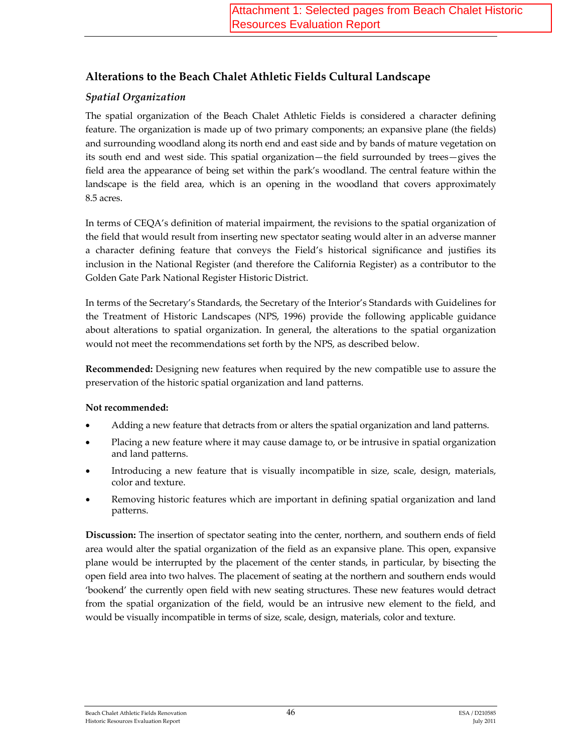## **Alterations to the Beach Chalet Athletic Fields Cultural Landscape**

### *Spatial Organization*

The spatial organization of the Beach Chalet Athletic Fields is considered a character defining feature. The organization is made up of two primary components; an expansive plane (the fields) and surrounding woodland along its north end and east side and by bands of mature vegetation on its south end and west side. This spatial organization—the field surrounded by trees—gives the field area the appearance of being set within the park's woodland. The central feature within the landscape is the field area, which is an opening in the woodland that covers approximately 8.5 acres.

In terms of CEQA's definition of material impairment, the revisions to the spatial organization of the field that would result from inserting new spectator seating would alter in an adverse manner a character defining feature that conveys the Field's historical significance and justifies its inclusion in the National Register (and therefore the California Register) as a contributor to the Golden Gate Park National Register Historic District.

In terms of the Secretary's Standards, the Secretary of the Interior's Standards with Guidelines for the Treatment of Historic Landscapes (NPS, 1996) provide the following applicable guidance about alterations to spatial organization. In general, the alterations to the spatial organization would not meet the recommendations set forth by the NPS, as described below.

**Recommended:** Designing new features when required by the new compatible use to assure the preservation of the historic spatial organization and land patterns.

#### **Not recommended:**

- Adding a new feature that detracts from or alters the spatial organization and land patterns.
- Placing a new feature where it may cause damage to, or be intrusive in spatial organization and land patterns.
- Introducing a new feature that is visually incompatible in size, scale, design, materials, color and texture.
- Removing historic features which are important in defining spatial organization and land patterns.

**Discussion:** The insertion of spectator seating into the center, northern, and southern ends of field area would alter the spatial organization of the field as an expansive plane. This open, expansive plane would be interrupted by the placement of the center stands, in particular, by bisecting the open field area into two halves. The placement of seating at the northern and southern ends would 'bookend' the currently open field with new seating structures. These new features would detract from the spatial organization of the field, would be an intrusive new element to the field, and would be visually incompatible in terms of size, scale, design, materials, color and texture.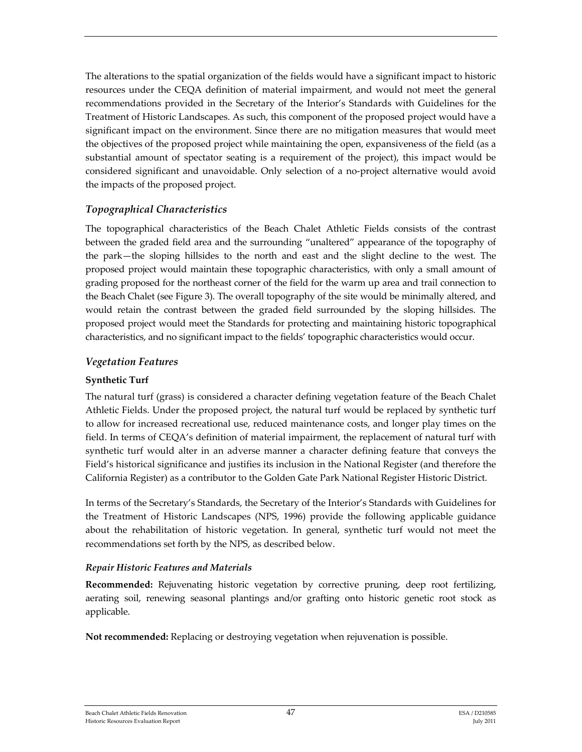The alterations to the spatial organization of the fields would have a significant impact to historic resources under the CEQA definition of material impairment, and would not meet the general recommendations provided in the Secretary of the Interior's Standards with Guidelines for the Treatment of Historic Landscapes. As such, this component of the proposed project would have a significant impact on the environment. Since there are no mitigation measures that would meet the objectives of the proposed project while maintaining the open, expansiveness of the field (as a substantial amount of spectator seating is a requirement of the project), this impact would be considered significant and unavoidable. Only selection of a no‐project alternative would avoid the impacts of the proposed project.

#### *Topographical Characteristics*

The topographical characteristics of the Beach Chalet Athletic Fields consists of the contrast between the graded field area and the surrounding "unaltered" appearance of the topography of the park—the sloping hillsides to the north and east and the slight decline to the west. The proposed project would maintain these topographic characteristics, with only a small amount of grading proposed for the northeast corner of the field for the warm up area and trail connection to the Beach Chalet (see Figure 3). The overall topography of the site would be minimally altered, and would retain the contrast between the graded field surrounded by the sloping hillsides. The proposed project would meet the Standards for protecting and maintaining historic topographical characteristics, and no significant impact to the fields' topographic characteristics would occur.

#### *Vegetation Features*

#### **Synthetic Turf**

The natural turf (grass) is considered a character defining vegetation feature of the Beach Chalet Athletic Fields. Under the proposed project, the natural turf would be replaced by synthetic turf to allow for increased recreational use, reduced maintenance costs, and longer play times on the field. In terms of CEQA's definition of material impairment, the replacement of natural turf with synthetic turf would alter in an adverse manner a character defining feature that conveys the Field's historical significance and justifies its inclusion in the National Register (and therefore the California Register) as a contributor to the Golden Gate Park National Register Historic District.

In terms of the Secretary's Standards, the Secretary of the Interior's Standards with Guidelines for the Treatment of Historic Landscapes (NPS, 1996) provide the following applicable guidance about the rehabilitation of historic vegetation. In general, synthetic turf would not meet the recommendations set forth by the NPS, as described below.

#### *Repair Historic Features and Materials*

**Recommended:** Rejuvenating historic vegetation by corrective pruning, deep root fertilizing, aerating soil, renewing seasonal plantings and/or grafting onto historic genetic root stock as applicable.

**Not recommended:** Replacing or destroying vegetation when rejuvenation is possible.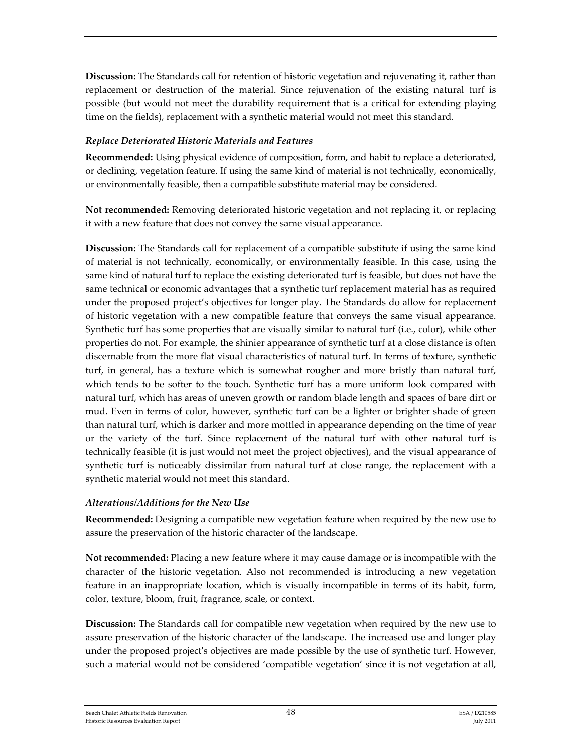**Discussion:** The Standards call for retention of historic vegetation and rejuvenating it, rather than replacement or destruction of the material. Since rejuvenation of the existing natural turf is possible (but would not meet the durability requirement that is a critical for extending playing time on the fields), replacement with a synthetic material would not meet this standard.

#### *Replace Deteriorated Historic Materials and Features*

**Recommended:** Using physical evidence of composition, form, and habit to replace a deteriorated, or declining, vegetation feature. If using the same kind of material is not technically, economically, or environmentally feasible, then a compatible substitute material may be considered.

**Not recommended:** Removing deteriorated historic vegetation and not replacing it, or replacing it with a new feature that does not convey the same visual appearance.

**Discussion:** The Standards call for replacement of a compatible substitute if using the same kind of material is not technically, economically, or environmentally feasible. In this case, using the same kind of natural turf to replace the existing deteriorated turf is feasible, but does not have the same technical or economic advantages that a synthetic turf replacement material has as required under the proposed project's objectives for longer play. The Standards do allow for replacement of historic vegetation with a new compatible feature that conveys the same visual appearance. Synthetic turf has some properties that are visually similar to natural turf (i.e., color), while other properties do not. For example, the shinier appearance of synthetic turf at a close distance is often discernable from the more flat visual characteristics of natural turf. In terms of texture, synthetic turf, in general, has a texture which is somewhat rougher and more bristly than natural turf, which tends to be softer to the touch. Synthetic turf has a more uniform look compared with natural turf, which has areas of uneven growth or random blade length and spaces of bare dirt or mud. Even in terms of color, however, synthetic turf can be a lighter or brighter shade of green than natural turf, which is darker and more mottled in appearance depending on the time of year or the variety of the turf. Since replacement of the natural turf with other natural turf is technically feasible (it is just would not meet the project objectives), and the visual appearance of synthetic turf is noticeably dissimilar from natural turf at close range, the replacement with a synthetic material would not meet this standard.

#### *Alterations/Additions for the New Use*

**Recommended:** Designing a compatible new vegetation feature when required by the new use to assure the preservation of the historic character of the landscape.

**Not recommended:** Placing a new feature where it may cause damage or is incompatible with the character of the historic vegetation. Also not recommended is introducing a new vegetation feature in an inappropriate location, which is visually incompatible in terms of its habit, form, color, texture, bloom, fruit, fragrance, scale, or context.

**Discussion:** The Standards call for compatible new vegetation when required by the new use to assure preservation of the historic character of the landscape. The increased use and longer play under the proposed project's objectives are made possible by the use of synthetic turf. However, such a material would not be considered 'compatible vegetation' since it is not vegetation at all,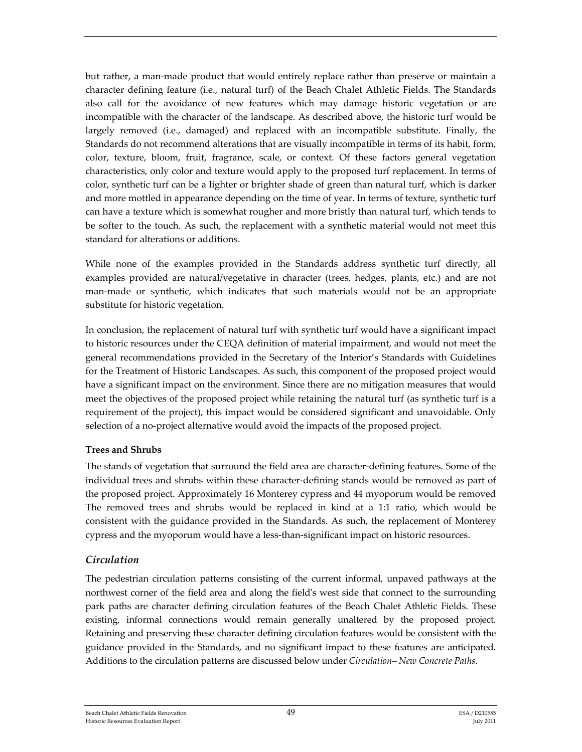but rather, a man‐made product that would entirely replace rather than preserve or maintain a character defining feature (i.e., natural turf) of the Beach Chalet Athletic Fields. The Standards also call for the avoidance of new features which may damage historic vegetation or are incompatible with the character of the landscape. As described above, the historic turf would be largely removed (i.e., damaged) and replaced with an incompatible substitute. Finally, the Standards do not recommend alterations that are visually incompatible in terms of its habit, form, color, texture, bloom, fruit, fragrance, scale, or context. Of these factors general vegetation characteristics, only color and texture would apply to the proposed turf replacement. In terms of color, synthetic turf can be a lighter or brighter shade of green than natural turf, which is darker and more mottled in appearance depending on the time of year. In terms of texture, synthetic turf can have a texture which is somewhat rougher and more bristly than natural turf, which tends to be softer to the touch. As such, the replacement with a synthetic material would not meet this standard for alterations or additions.

While none of the examples provided in the Standards address synthetic turf directly, all examples provided are natural/vegetative in character (trees, hedges, plants, etc.) and are not man-made or synthetic, which indicates that such materials would not be an appropriate substitute for historic vegetation.

In conclusion, the replacement of natural turf with synthetic turf would have a significant impact to historic resources under the CEQA definition of material impairment, and would not meet the general recommendations provided in the Secretary of the Interior's Standards with Guidelines for the Treatment of Historic Landscapes. As such, this component of the proposed project would have a significant impact on the environment. Since there are no mitigation measures that would meet the objectives of the proposed project while retaining the natural turf (as synthetic turf is a requirement of the project), this impact would be considered significant and unavoidable. Only selection of a no‐project alternative would avoid the impacts of the proposed project.

#### **Trees and Shrubs**

The stands of vegetation that surround the field area are character‐defining features. Some of the individual trees and shrubs within these character-defining stands would be removed as part of the proposed project. Approximately 16 Monterey cypress and 44 myoporum would be removed The removed trees and shrubs would be replaced in kind at a 1:1 ratio, which would be consistent with the guidance provided in the Standards. As such, the replacement of Monterey cypress and the myoporum would have a less‐than‐significant impact on historic resources.

#### *Circulation*

The pedestrian circulation patterns consisting of the current informal, unpaved pathways at the northwest corner of the field area and along the fieldʹs west side that connect to the surrounding park paths are character defining circulation features of the Beach Chalet Athletic Fields. These existing, informal connections would remain generally unaltered by the proposed project. Retaining and preserving these character defining circulation features would be consistent with the guidance provided in the Standards, and no significant impact to these features are anticipated. Additions to the circulation patterns are discussed below under *Circulation– New Concrete Paths*.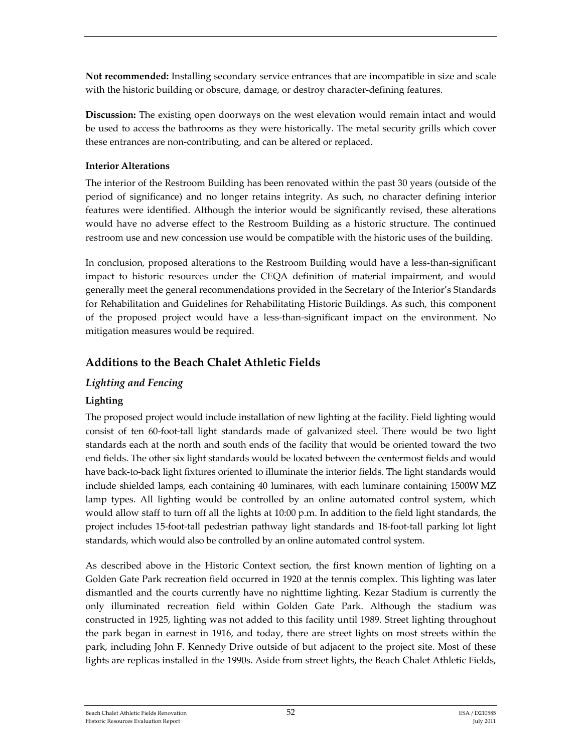**Not recommended:** Installing secondary service entrances that are incompatible in size and scale with the historic building or obscure, damage, or destroy character-defining features.

**Discussion:** The existing open doorways on the west elevation would remain intact and would be used to access the bathrooms as they were historically. The metal security grills which cover these entrances are non‐contributing, and can be altered or replaced.

#### **Interior Alterations**

The interior of the Restroom Building has been renovated within the past 30 years (outside of the period of significance) and no longer retains integrity. As such, no character defining interior features were identified. Although the interior would be significantly revised, these alterations would have no adverse effect to the Restroom Building as a historic structure. The continued restroom use and new concession use would be compatible with the historic uses of the building.

In conclusion, proposed alterations to the Restroom Building would have a less-than-significant impact to historic resources under the CEQA definition of material impairment, and would generally meet the general recommendations provided in the Secretary of the Interior's Standards for Rehabilitation and Guidelines for Rehabilitating Historic Buildings. As such, this component of the proposed project would have a less‐than‐significant impact on the environment. No mitigation measures would be required.

## **Additions to the Beach Chalet Athletic Fields**

#### *Lighting and Fencing*

#### **Lighting**

The proposed project would include installation of new lighting at the facility. Field lighting would consist of ten 60‐foot‐tall light standards made of galvanized steel. There would be two light standards each at the north and south ends of the facility that would be oriented toward the two end fields. The other six light standards would be located between the centermost fields and would have back‐to‐back light fixtures oriented to illuminate the interior fields. The light standards would include shielded lamps, each containing 40 luminares, with each luminare containing 1500W MZ lamp types. All lighting would be controlled by an online automated control system, which would allow staff to turn off all the lights at 10:00 p.m. In addition to the field light standards, the project includes 15‐foot‐tall pedestrian pathway light standards and 18‐foot‐tall parking lot light standards, which would also be controlled by an online automated control system.

As described above in the Historic Context section, the first known mention of lighting on a Golden Gate Park recreation field occurred in 1920 at the tennis complex. This lighting was later dismantled and the courts currently have no nighttime lighting. Kezar Stadium is currently the only illuminated recreation field within Golden Gate Park. Although the stadium was constructed in 1925, lighting was not added to this facility until 1989. Street lighting throughout the park began in earnest in 1916, and today, there are street lights on most streets within the park, including John F. Kennedy Drive outside of but adjacent to the project site. Most of these lights are replicas installed in the 1990s. Aside from street lights, the Beach Chalet Athletic Fields,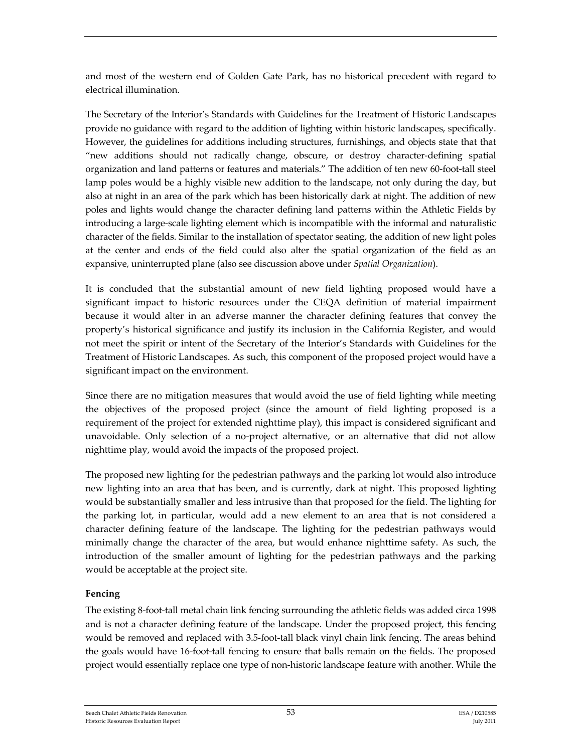and most of the western end of Golden Gate Park, has no historical precedent with regard to electrical illumination.

The Secretary of the Interior's Standards with Guidelines for the Treatment of Historic Landscapes provide no guidance with regard to the addition of lighting within historic landscapes, specifically. However, the guidelines for additions including structures, furnishings, and objects state that that "new additions should not radically change, obscure, or destroy character‐defining spatial organization and land patterns or features and materials." The addition of ten new 60-foot-tall steel lamp poles would be a highly visible new addition to the landscape, not only during the day, but also at night in an area of the park which has been historically dark at night. The addition of new poles and lights would change the character defining land patterns within the Athletic Fields by introducing a large‐scale lighting element which is incompatible with the informal and naturalistic character of the fields. Similar to the installation of spectator seating, the addition of new light poles at the center and ends of the field could also alter the spatial organization of the field as an expansive, uninterrupted plane (also see discussion above under *Spatial Organization*).

It is concluded that the substantial amount of new field lighting proposed would have a significant impact to historic resources under the CEQA definition of material impairment because it would alter in an adverse manner the character defining features that convey the property's historical significance and justify its inclusion in the California Register, and would not meet the spirit or intent of the Secretary of the Interior's Standards with Guidelines for the Treatment of Historic Landscapes. As such, this component of the proposed project would have a significant impact on the environment.

Since there are no mitigation measures that would avoid the use of field lighting while meeting the objectives of the proposed project (since the amount of field lighting proposed is a requirement of the project for extended nighttime play), this impact is considered significant and unavoidable. Only selection of a no‐project alternative, or an alternative that did not allow nighttime play, would avoid the impacts of the proposed project.

The proposed new lighting for the pedestrian pathways and the parking lot would also introduce new lighting into an area that has been, and is currently, dark at night. This proposed lighting would be substantially smaller and less intrusive than that proposed for the field. The lighting for the parking lot, in particular, would add a new element to an area that is not considered a character defining feature of the landscape. The lighting for the pedestrian pathways would minimally change the character of the area, but would enhance nighttime safety. As such, the introduction of the smaller amount of lighting for the pedestrian pathways and the parking would be acceptable at the project site.

#### **Fencing**

The existing 8‐foot‐tall metal chain link fencing surrounding the athletic fields was added circa 1998 and is not a character defining feature of the landscape. Under the proposed project, this fencing would be removed and replaced with 3.5-foot-tall black vinyl chain link fencing. The areas behind the goals would have 16‐foot‐tall fencing to ensure that balls remain on the fields. The proposed project would essentially replace one type of non‐historic landscape feature with another. While the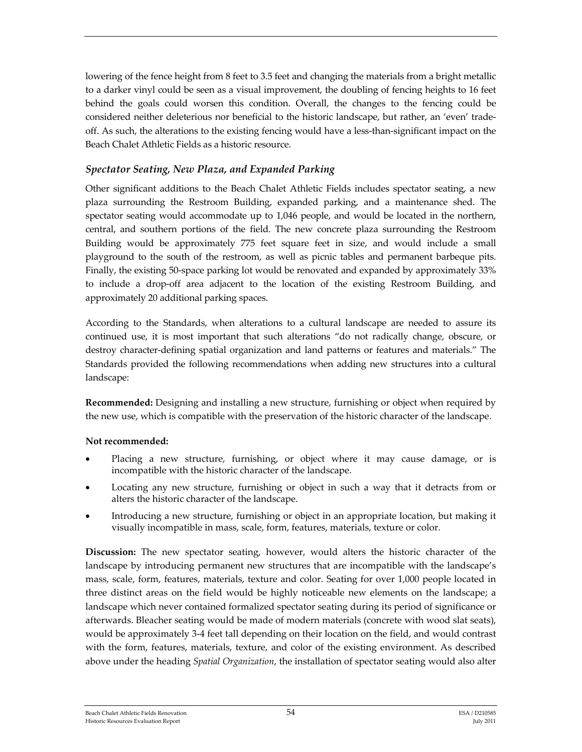lowering of the fence height from 8 feet to 3.5 feet and changing the materials from a bright metallic to a darker vinyl could be seen as a visual improvement, the doubling of fencing heights to 16 feet behind the goals could worsen this condition. Overall, the changes to the fencing could be considered neither deleterious nor beneficial to the historic landscape, but rather, an 'even' trade‐ off. As such, the alterations to the existing fencing would have a less-than-significant impact on the Beach Chalet Athletic Fields as a historic resource.

#### *Spectator Seating, New Plaza, and Expanded Parking*

Other significant additions to the Beach Chalet Athletic Fields includes spectator seating, a new plaza surrounding the Restroom Building, expanded parking, and a maintenance shed. The spectator seating would accommodate up to 1,046 people, and would be located in the northern, central, and southern portions of the field. The new concrete plaza surrounding the Restroom Building would be approximately 775 feet square feet in size, and would include a small playground to the south of the restroom, as well as picnic tables and permanent barbeque pits. Finally, the existing 50‐space parking lot would be renovated and expanded by approximately 33% to include a drop‐off area adjacent to the location of the existing Restroom Building, and approximately 20 additional parking spaces.

According to the Standards, when alterations to a cultural landscape are needed to assure its continued use, it is most important that such alterations "do not radically change, obscure, or destroy character‐defining spatial organization and land patterns or features and materials." The Standards provided the following recommendations when adding new structures into a cultural landscape:

**Recommended:** Designing and installing a new structure, furnishing or object when required by the new use, which is compatible with the preservation of the historic character of the landscape.

#### **Not recommended:**

- Placing a new structure, furnishing, or object where it may cause damage, or is incompatible with the historic character of the landscape.
- Locating any new structure, furnishing or object in such a way that it detracts from or alters the historic character of the landscape.
- Introducing a new structure, furnishing or object in an appropriate location, but making it visually incompatible in mass, scale, form, features, materials, texture or color.

**Discussion:** The new spectator seating, however, would alters the historic character of the landscape by introducing permanent new structures that are incompatible with the landscape's mass, scale, form, features, materials, texture and color. Seating for over 1,000 people located in three distinct areas on the field would be highly noticeable new elements on the landscape; a landscape which never contained formalized spectator seating during its period of significance or afterwards. Bleacher seating would be made of modern materials (concrete with wood slat seats), would be approximately 3‐4 feet tall depending on their location on the field, and would contrast with the form, features, materials, texture, and color of the existing environment. As described above under the heading *Spatial Organization*, the installation of spectator seating would also alter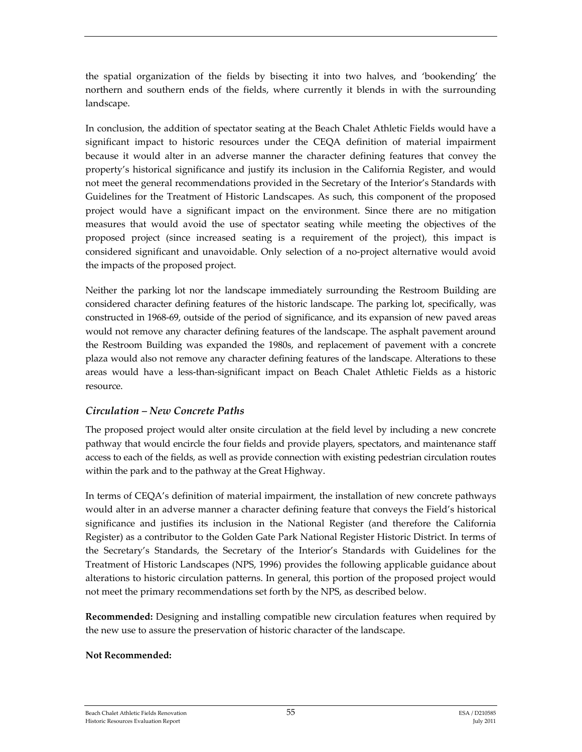the spatial organization of the fields by bisecting it into two halves, and 'bookending' the northern and southern ends of the fields, where currently it blends in with the surrounding landscape.

In conclusion, the addition of spectator seating at the Beach Chalet Athletic Fields would have a significant impact to historic resources under the CEQA definition of material impairment because it would alter in an adverse manner the character defining features that convey the property's historical significance and justify its inclusion in the California Register, and would not meet the general recommendations provided in the Secretary of the Interior's Standards with Guidelines for the Treatment of Historic Landscapes. As such, this component of the proposed project would have a significant impact on the environment. Since there are no mitigation measures that would avoid the use of spectator seating while meeting the objectives of the proposed project (since increased seating is a requirement of the project), this impact is considered significant and unavoidable. Only selection of a no‐project alternative would avoid the impacts of the proposed project.

Neither the parking lot nor the landscape immediately surrounding the Restroom Building are considered character defining features of the historic landscape. The parking lot, specifically, was constructed in 1968‐69, outside of the period of significance, and its expansion of new paved areas would not remove any character defining features of the landscape. The asphalt pavement around the Restroom Building was expanded the 1980s, and replacement of pavement with a concrete plaza would also not remove any character defining features of the landscape. Alterations to these areas would have a less‐than‐significant impact on Beach Chalet Athletic Fields as a historic resource.

#### *Circulation – New Concrete Paths*

The proposed project would alter onsite circulation at the field level by including a new concrete pathway that would encircle the four fields and provide players, spectators, and maintenance staff access to each of the fields, as well as provide connection with existing pedestrian circulation routes within the park and to the pathway at the Great Highway.

In terms of CEQA's definition of material impairment, the installation of new concrete pathways would alter in an adverse manner a character defining feature that conveys the Field's historical significance and justifies its inclusion in the National Register (and therefore the California Register) as a contributor to the Golden Gate Park National Register Historic District. In terms of the Secretary's Standards, the Secretary of the Interior's Standards with Guidelines for the Treatment of Historic Landscapes (NPS, 1996) provides the following applicable guidance about alterations to historic circulation patterns. In general, this portion of the proposed project would not meet the primary recommendations set forth by the NPS, as described below.

**Recommended:** Designing and installing compatible new circulation features when required by the new use to assure the preservation of historic character of the landscape.

#### **Not Recommended:**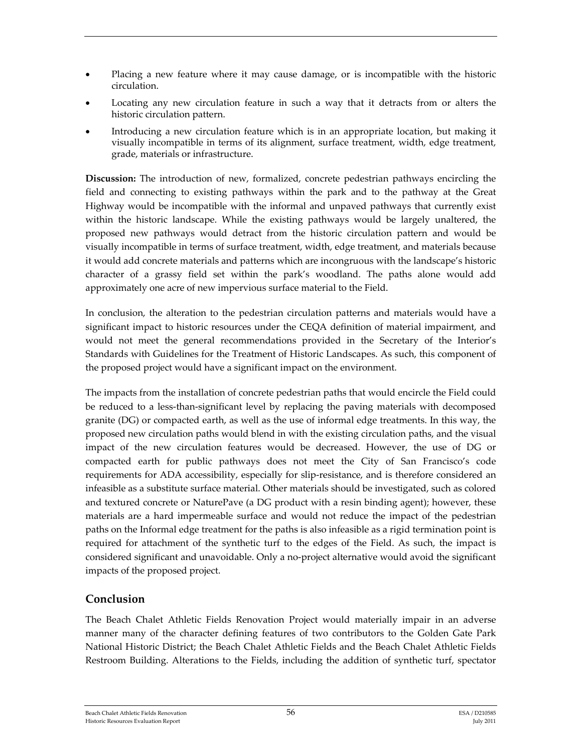- Placing a new feature where it may cause damage, or is incompatible with the historic circulation.
- Locating any new circulation feature in such a way that it detracts from or alters the historic circulation pattern.
- Introducing a new circulation feature which is in an appropriate location, but making it visually incompatible in terms of its alignment, surface treatment, width, edge treatment, grade, materials or infrastructure.

**Discussion:** The introduction of new, formalized, concrete pedestrian pathways encircling the field and connecting to existing pathways within the park and to the pathway at the Great Highway would be incompatible with the informal and unpaved pathways that currently exist within the historic landscape. While the existing pathways would be largely unaltered, the proposed new pathways would detract from the historic circulation pattern and would be visually incompatible in terms of surface treatment, width, edge treatment, and materials because it would add concrete materials and patterns which are incongruous with the landscape's historic character of a grassy field set within the park's woodland. The paths alone would add approximately one acre of new impervious surface material to the Field.

In conclusion, the alteration to the pedestrian circulation patterns and materials would have a significant impact to historic resources under the CEQA definition of material impairment, and would not meet the general recommendations provided in the Secretary of the Interior's Standards with Guidelines for the Treatment of Historic Landscapes. As such, this component of the proposed project would have a significant impact on the environment.

The impacts from the installation of concrete pedestrian paths that would encircle the Field could be reduced to a less-than-significant level by replacing the paving materials with decomposed granite (DG) or compacted earth, as well as the use of informal edge treatments. In this way, the proposed new circulation paths would blend in with the existing circulation paths, and the visual impact of the new circulation features would be decreased. However, the use of DG or compacted earth for public pathways does not meet the City of San Francisco's code requirements for ADA accessibility, especially for slip-resistance, and is therefore considered an infeasible as a substitute surface material. Other materials should be investigated, such as colored and textured concrete or NaturePave (a DG product with a resin binding agent); however, these materials are a hard impermeable surface and would not reduce the impact of the pedestrian paths on the Informal edge treatment for the paths is also infeasible as a rigid termination point is required for attachment of the synthetic turf to the edges of the Field. As such, the impact is considered significant and unavoidable. Only a no‐project alternative would avoid the significant impacts of the proposed project.

## **Conclusion**

The Beach Chalet Athletic Fields Renovation Project would materially impair in an adverse manner many of the character defining features of two contributors to the Golden Gate Park National Historic District; the Beach Chalet Athletic Fields and the Beach Chalet Athletic Fields Restroom Building. Alterations to the Fields, including the addition of synthetic turf, spectator